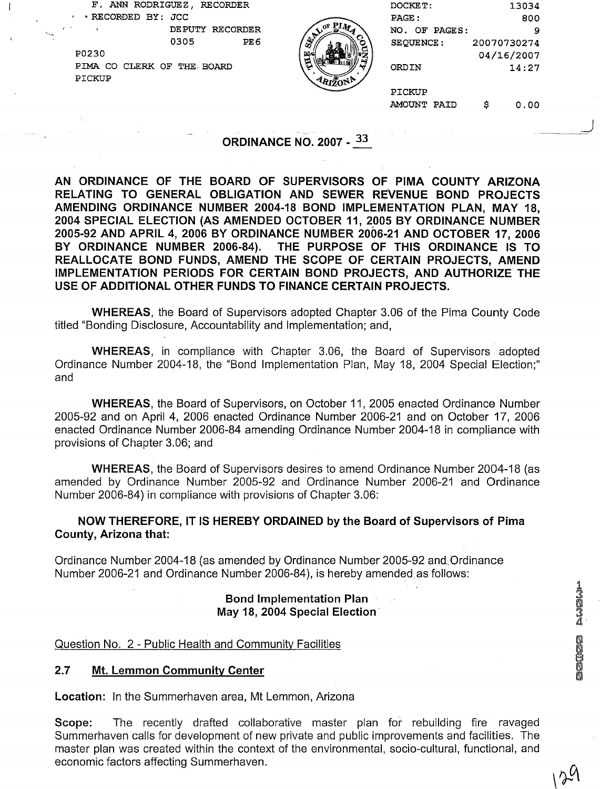|                                   | F. ANN RODRIGUEZ, RECORDER<br>* RECORDED BY: JCC |                 |                 |                                | DOCKET:<br>PAGE : |   | 13034<br>800 |  |
|-----------------------------------|--------------------------------------------------|-----------------|-----------------|--------------------------------|-------------------|---|--------------|--|
| <b>Same</b>                       | $\sim 10^{10}$ M $_{\odot}$                      | DEPUTY RECORDER |                 |                                | NO. OF PAGES:     |   | 9            |  |
|                                   |                                                  | 0305            | PE <sub>6</sub> |                                | <b>SEQUENCE:</b>  |   | 20070730274  |  |
|                                   | P0230                                            |                 |                 |                                |                   |   | 04/16/2007   |  |
|                                   | PIMA CO CLERK OF THE BOARD                       |                 |                 |                                | <b>ORDIN</b>      |   | 14:27        |  |
|                                   | PICKUP                                           |                 |                 |                                |                   |   |              |  |
|                                   |                                                  |                 |                 |                                | PICKUP            |   |              |  |
|                                   |                                                  |                 |                 |                                | AMOUNT PAID       | s | 0.00         |  |
|                                   |                                                  |                 |                 |                                |                   |   |              |  |
| and the company of the company of |                                                  |                 |                 |                                |                   |   |              |  |
|                                   |                                                  |                 |                 | <b>ORDINANCE NO. 2007 - 33</b> |                   |   |              |  |

## ORDINANCE NO. 2007 - 33

AN ORDINANCE OF THE BOARD OF SUPERVISORS OF PlMA COUNTY ARIZONA RELATING TO GENERAL OBLIGATION AND SEWER REVENUE BOND PROJECTS AMENDING ORDINANCE NUMBER 2004-18 BOND IMPLEMENTATION PLAN, MAY 18, 2004 SPECIAL ELECTION (AS AMENDED OCTOBER 11, 2005 BY ORDINANCE NUMBER 2005-92 AND APRIL 4, 2006 BY ORDINANCE NUMBER 2006-21 AND OCTOBER 17, 2006 BY ORDINANCE NUMBER 2006-84). THE PURPOSE OF THIS ORDINANCE IS TO REALLOCATE BOND FUNDS, AMEND THE SCOPE OF CERTAIN PROJECTS, AMEND IMPLEMENTATION PERIODS FOR CERTAIN BOND PROJECTS, AND AUTHORIZE THE USE OF ADDITIONAL OTHER FUNDS TO FINANCE CERTAIN PROJECTS.

WHEREAS, the Board of Supervisors adopted Chapter 3.06 of the Pima County Code titled "Bonding Disclosure, Accountability and Implementation; and,

WHEREAS, in compliance with Chapter 3.06, the Board of Supervisors adopted Ordinance Number 2004-18, the "Bond Implementation Plan, May 18, 2004 Special Election;" and

WHEREAS, the Board of Supervisors, on October 11, 2005 enacted Ordinance Number 2005-92 and on April 4, 2006 enacted Ordinance Number 2006-21 and on October 17, 2006 enacted Ordinance Number 2006-84 amending Ordinance Number 2004-18 in compliance with provisions of Chapter 3.06; and

WHEREAS, the Board of Supervisors desires to amend Ordinance Number 2004-18 (as amended by Ordinance Number 2005-92 and Ordinance Number 2006-21 and Ordinance Number 2006-84) in compliance with provisions of Chapter 3.06:

NOW THEREFORE, IT IS HEREBY ORDAINED by the Board of Supervisors of Pima County, Arizona that:

Ordinance Number 2004-18 (as amended by Ordinance Number 2005-92 and,Ordinance Number 2006-21 and Ordinance Number 2006-84), is hereby amended as follows:

#### Bond lmplementation Plan May 18, 2004 Special Election

#### Question No. 2 - Public Health and Community Facilities

#### 2.7 Mt. Lemmon Community Center

Location: In the Summerhaven area, Mt Lemmon, Arizona

Scope: The recently drafted collaborative master plan for rebuilding fire ravaged Summerhaven calls for development of new private and public improvements and facilities. The master plan was created within the context of the environmental, socio-cultural, functional, and economic factors affecting Summerhaven.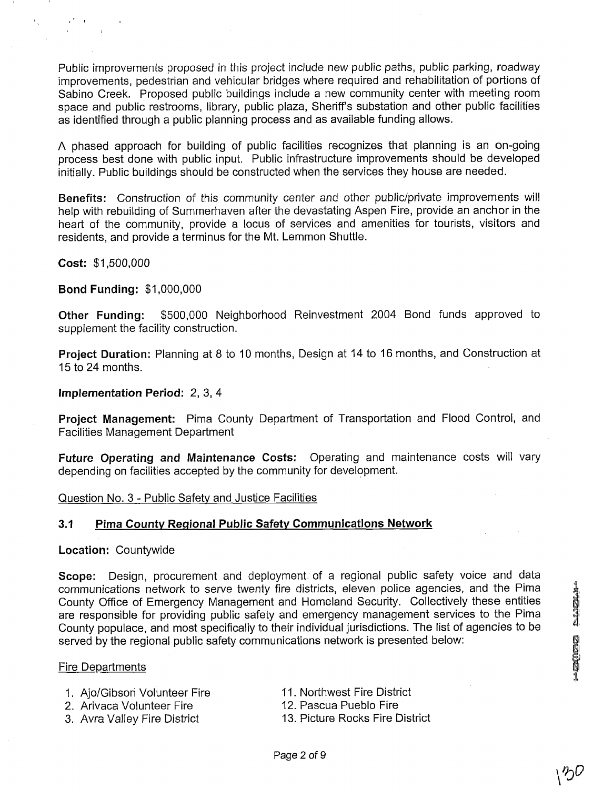Public improvements proposed in this project include new public paths, public parking, roadway improvements, pedestrian and vehicular bridges where required and rehabilitation of portions of Sabino Creek. Proposed public buildings include a new community center with meeting room space and public restrooms, library, public plaza, Sheriff's substation and other public facilities as identified through a public planning process and as available funding allows.

A phased approach for building of public facilities recognizes that planning is an on-going process best done with public input. Public infrastructure improvements should be developed initially. Public buildings should be constructed when the services they house are needed.

**Benefits:** Construction of this community center and other public/private improvements will help with rebuilding of Summerhaven after the devastating Aspen Fire, provide an anchor in the heart of the community, provide a locus of services and amenities for tourists, visitors and residents, and provide a terminus for the Mt. Lemmon Shuttle.

**Cost:** \$1,500,000

**Bond Funding:** \$1,000,000

**Other Funding:** \$500,000 Neighborhood Reinvestment 2004 Bond funds approved to supplement the facility construction.

**Project Duration:** Planning at 8 to 10 months, Design at 14 to I6 months, and Construction at 15 to 24 months.

**Implementation Period:** 2, **3,4** 

**Project Management:** Pima County Department of Transportation and Flood Control, and Facilities Management Department

**Future Operating and Maintenance Costs:** Operating and maintenance costs will vary depending on facilities accepted by the community for development.

Question No. 3 - Public Safety and Justice Facilities

#### **3.1 Pima County Regional Public Safety Communications Network**

#### **Location:** Countywide

Scope: Design, procurement and deployment of a regional public safety voice and data communications network to serve twenty fire districts, eleven police agencies, and the Pima communications network to serve twenty fire districts, eleven police agencies, and the Pima<br>County Office of Emergency Management and Homeland Security. Collectively these entities<br>are responsible for providing public safe County populace, and most specifically to their individual jurisdictions. The list of agencies to be served by the regional public safety communications network is presented below:

#### Fire Departments

# 1. Ajo/Gibson Volunteer Fire **Inter Item Acceler 11. Northwest Fire District**<br>12. Arivaca Volunteer Fire **Inter I 12. Pascua Pueblo Fire**

- 2. Arivaca Volunteer Fire
- 
- 
- 
- 3. Avra Valley Fire District 13. Picture Rocks Fire District

∖多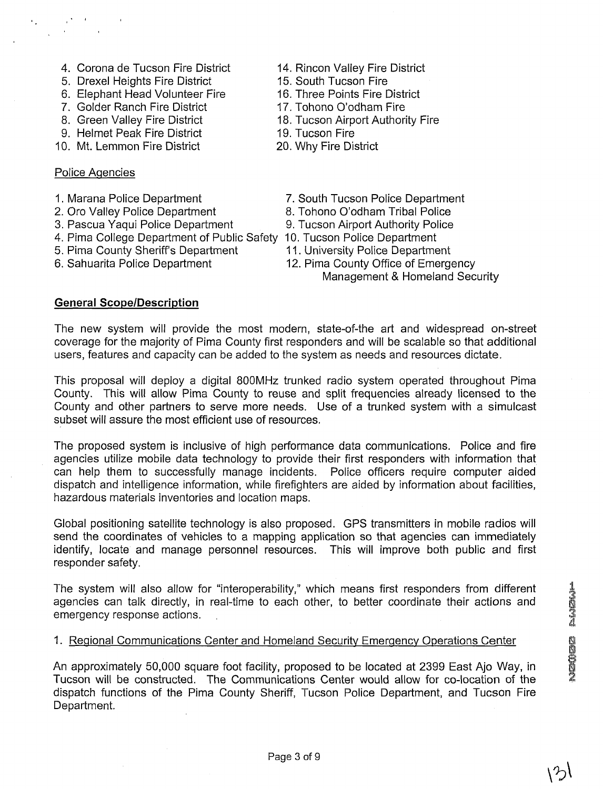- 4. Corona de Tucson Fire District 14. Rincon Valley Fire District
- 5. Drexel Heights Fire District **15. South Tucson Fire**<br>6. Elephant Head Volunteer Fire 16. Three Points Fire District
- 6. Elephant Head Volunteer Fire
- 7. Golder Ranch Fire District 17. Tohono O'odham Fire
- 
- 9. Helmet Peak Fire District 19. Tucson Fire<br>
0. Mt. Lemmon Fire District 20. Why Fire District
- 10. Mt. Lemmon Fire District

### Police Aqencies

- 
- 2. Oro Valley Police Department 8. Tohono O'odham Tribal Police
- 
- 4. Pima College Department of Public Safety 10. Tucson Police Department
- 5. Pima County Sheriff's Department 11. University Police Department<br>6. Sahuarita Police Department 12. Pima County Office of Emerq
- 
- 
- 
- 
- 
- 8. Green Valley Fire District 18. Tucson Airport Authority Fire
	-
	-
- 1. Marana Police Department 7. South Tucson Police Department
	-
- 3. Pascua Yaqui Police Department 9. Tucson Airport Authority Police
	-
	-
	- 12. Pima County Office of Emergency
		- Management & Homeland Security

### **General ScopelDescription**

The new system will provide the most modern, state-of-the art and widespread on-street coverage for the majority of Pima County first responders and will be scalable so that additional users, features and capacity can be added to the system as needs and resources dictate.

This proposal will deploy a digital 800MHz trunked radio system operated throughout Pima County. This will allow Pima County to reuse and split frequencies already licensed to the County and other partners to serve more needs. Use of a trunked system with a simulcast subset will assure the most efficient use of resources.

The proposed system is inclusive of high performance data communications. Police and fire agencies utilize mobile data technology to provide their first responders with information that can help them to successfully manage incidents. Police officers require computer aided dispatch and intelligence information, while firefighters are aided by information about facilities, hazardous materials inventories and location maps.

Global positioning satellite technology is also proposed. GPS transmitters in mobile radios will send the coordinates of vehicles to a mapping application so that agencies can immediately identify, locate and manage personnel resources. This will improve both public and first responder safety.

The system will also allow for "interoperability," which means first responders from different agencies can talk directly, in real-time to each other, to better coordinate their actions and emergency response actions. .

#### 1. Regional Communications Center and Homeland Security Emergency Operations Center

An approximately 50,000 square foot facility, proposed to be located at 2399 East Ajo Way, in Tucson will be constructed. The Communications Center would allow for co-location of the dispatch functions of the Pima County Sheriff, Tucson Police Department, and Tucson Fire Department.

いつ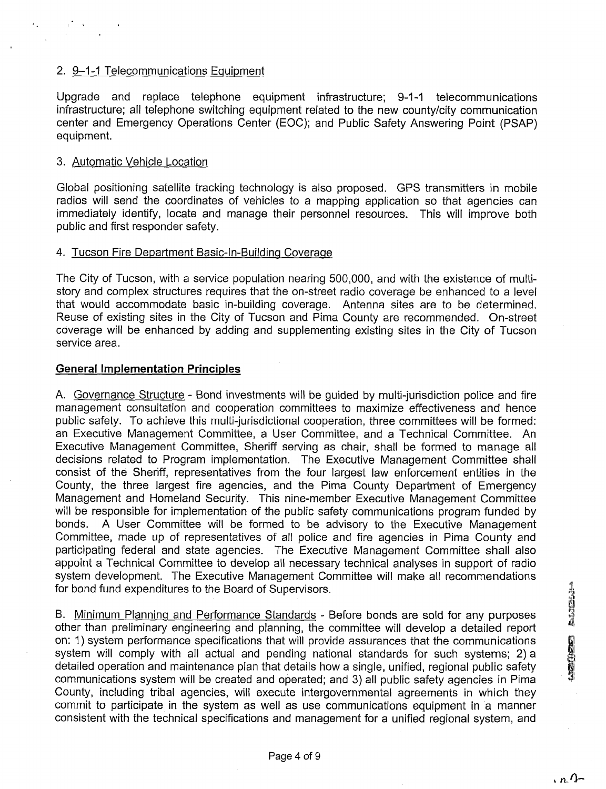### 2. 9-1-1 Telecommunications Equipment

Upgrade and replace telephone equipment infrastructure; 9-1-1 telecommunications infrastructure; all telephone switching equipment related to the new countylcity communication center and Emergency Operations Center (EOC); and Public Safety Answering Point (PSAP) equipment.

#### 3. Automatic Vehicle Location

Global positioning satellite tracking technology is also proposed. GPS transmitters in mobile radios will send the coordinates of vehicles to a mapping application so that agencies can immediately identify, locate and manage their personnel resources. This will improve both public and first responder safety.

#### 4. Tucson Fire Department Basic-In-Buildinq Coverage

The City of Tucson, with a service population nearing 500,000, and with the existence of multistory and complex structures requires that the on-street radio coverage be enhanced to a level that would accommodate basic in-building coverage. Antenna sites are to be determined. Reuse of existing sites in the City of Tucson and Pima County are recommended. On-street coverage will be enhanced by adding and supplementing existing sites in the City of Tucson service area.

#### **General Implementation Principles**

A. Governance Structure - Bond investments will be guided by multi-jurisdiction police and fire management consultation and cooperation committees to maximize effectiveness and hence public safety. To achieve this multi-jurisdictional cooperation, three committees will be formed: an Executive Management Committee, a User Committee, and a Technical Committee. An Executive Management Committee, Sheriff serving as chair, shall be formed to manage all decisions related to Program implementation. The Executive Management Committee shall consist of the Sheriff, representatives from the four largest law enforcement entities in the County, the three largest fire agencies, and the Pima County Department of Emergency Management and Homeland Security. This nine-member Executive Management Committee will be responsible for implementation of the public safety communications program funded by bonds. A User Committee will be formed to be advisory to the Executive Management Committee, made up of representatives of all police and fire agencies in Pima County and participating federal and state agencies. The Executive Management Committee shall also appoint a Technical Committee to develop all necessary technical analyses in support of radio system development. The Executive Management Committee will make all recommendations

for bond fund expenditures to the Board of Supervisors.<br>
B. Minimum Planning and Performance Standards - Before bonds are sold for any purposes<br>
other than preliminary engineering and planning, the committee will develop a B. Minimum Planning and Performance Standards - Before bonds are sold for any purposes other than preliminary engineering and planning, the committee will develop a detailed report on: 1) system performance specifications that will provide assurances that the communications system will comply with all actual and pending national standards for such systems; 2) a detailed operation and maintenance plan that details how a single, unified, regional public safety communications system will be created and operated; and 3) all public safety agencies in Pima <sup>I</sup> County, including tribal agencies, will execute intergovernmental agreements in which they commit to participate in the system as well as use communications equipment in a manner consistent with the technical specifications and management for a unified regional system, and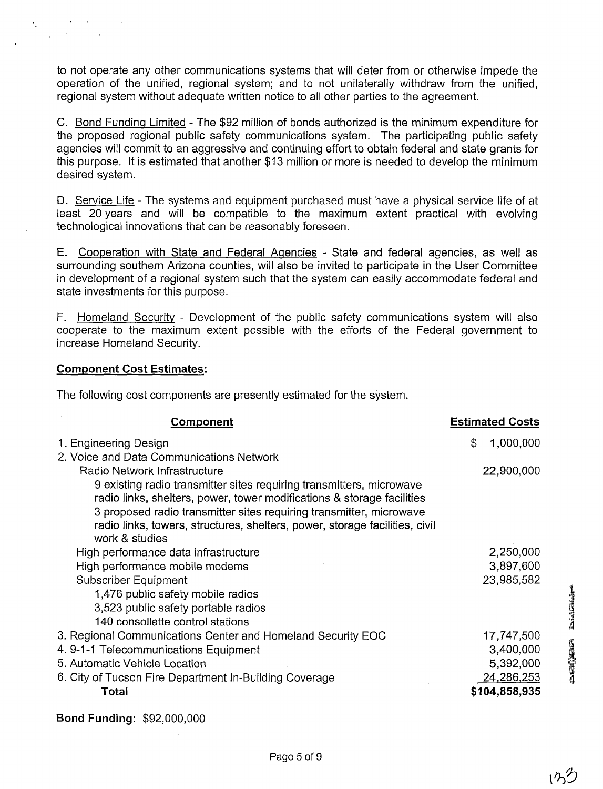to not operate any other communications systems that will deter from or otherwise impede the operation of the unified, regional system; and to not unilaterally withdraw from the unified, regional system without adequate written notice to all other parties to the agreement.

C. Bond Funding Limited - The \$92 million of bonds authorized is the minimum expenditure for the proposed regional public safety communications system. The participating public safety agencies will commit to an aggressive and continuing effort to obtain federal and state grants for this purpose. It is estimated that another \$13 million or more is needed to develop the minimum desired system.

D. Service Life - The systems and equipment purchased must have a physical service life of at least 20 years and will be compatible to the maximum extent practical with evolving technological innovations that can be reasonably foreseen.

E. Cooperation with State and Federal Agencies - State and federal agencies, as well as surrounding southern Arizona counties, will also be invited to participate in the User Committee in development of a regional system such that the system can easily accommodate federal and state investments for this purpose.

F. Homeland Security - Development of the public safety communications system will also cooperate to the maximum extent possible with the efforts of the Federal government to increase Homeland Security.

#### **Component Cost Estimates:**

**Bond Funding:** \$92,000,000

The following cost components are presently estimated for the system.

| Component                                                                   | <b>Estimated Costs</b> |  |  |
|-----------------------------------------------------------------------------|------------------------|--|--|
| 1. Engineering Design                                                       | \$<br>1,000,000        |  |  |
| 2. Voice and Data Communications Network                                    |                        |  |  |
| Radio Network Infrastructure                                                | 22,900,000             |  |  |
| 9 existing radio transmitter sites requiring transmitters, microwave        |                        |  |  |
| radio links, shelters, power, tower modifications & storage facilities      |                        |  |  |
| 3 proposed radio transmitter sites requiring transmitter, microwave         |                        |  |  |
| radio links, towers, structures, shelters, power, storage facilities, civil |                        |  |  |
| work & studies                                                              |                        |  |  |
| High performance data infrastructure                                        | 2,250,000              |  |  |
| High performance mobile modems                                              | 3,897,600              |  |  |
| Subscriber Equipment                                                        | 23,985,582             |  |  |
| 1,476 public safety mobile radios                                           |                        |  |  |
| 3,523 public safety portable radios                                         |                        |  |  |
| 140 consollette control stations                                            |                        |  |  |
| 3. Regional Communications Center and Homeland Security EOC                 | 17,747,500             |  |  |
| 4.9-1-1 Telecommunications Equipment                                        | 3,400,000              |  |  |
| 5. Automatic Vehicle Location                                               | 5,392,000              |  |  |
| 6. City of Tucson Fire Department In-Building Coverage                      | 24,286,253             |  |  |
| Total                                                                       | \$104,858,935          |  |  |
|                                                                             |                        |  |  |

**Additional Sciences** 

 $122$ 

Page 5 of 9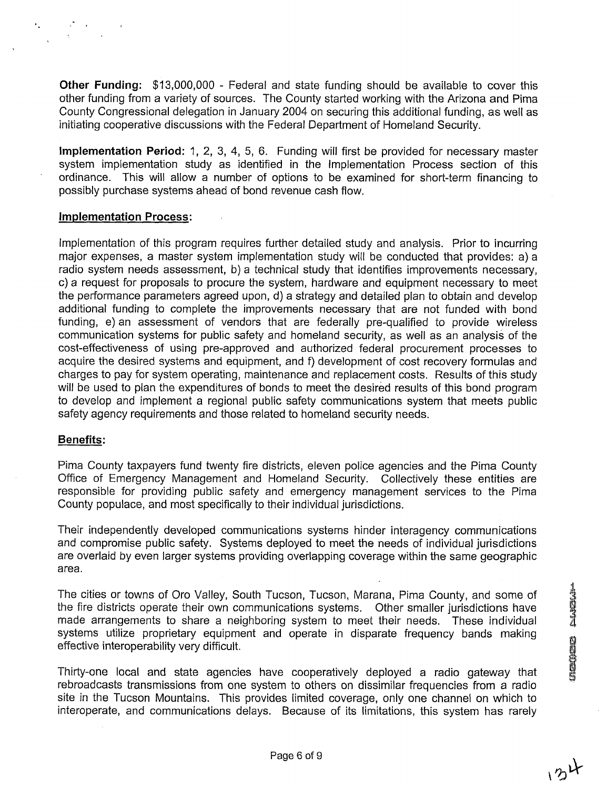**Other Funding:** \$13,000,000 - Federal and state funding should be available to cover this other funding from a variety of sources. The County started working with the Arizona and Pima County Congressional delegation in January 2004 on securing this additional funding, as well as initiating cooperative discussions with the Federal Department of Homeland Security.

**lmplementation Period:** 1, 2, 3, 4, 5, 6. Funding will first be provided for necessary master system implementation study as identified in the lmplementation Process section of this ordinance. This will allow a number of options to be examined for short-term financing to possibly purchase systems ahead of bond revenue cash flow.

#### **lmplementation Process:**

lmplementation of this program requires further detailed study and analysis. Prior to incurring major expenses, a master system implementation study will be conducted that provides: a) a radio system needs assessment, b) a technical study that identifies improvements necessary, c) a request for proposals to procure the system, hardware and equipment necessary to meet the performance parameters agreed upon, d) a strategy and detailed plan to obtain and develop additional funding to complete the improvements necessary that are not funded with bond funding, e) an assessment of vendors that are federally pre-qualified to provide wireless communication systems for public safety and homeland security, as well as an analysis of the cost-effectiveness of using pre-approved and authorized federal procurement processes to acquire the desired systems and equipment, and f) development of cost recovery formulas and charges to pay for system operating, maintenance and replacement costs. Results of this study will be used to plan the expenditures of bonds to meet the desired results of this bond program to develop and implement a regional public safety communications system that meets public safety agency requirements and those related to homeland security needs.

#### **Benefits:**

Pima County taxpayers fund twenty fire districts, eleven police agencies and the Pima County Office of Emergency Management and Homeland Security. Collectively these entities are responsible for providing public safety and emergency management services to the Pima County populace, and most specifically to their individual jurisdictions.

Their independently developed communications systems hinder interagency communications and compromise public safety. Systems deployed to meet the needs of individual jurisdictions are overlaid by even larger systems providing overlapping coverage within the same geographic area.

The cities or towns of Oro Valley, South Tucson, Tucson, Marana, Pima County, and some of the fire districts operate their own communications systems. Other smaller jurisdictions have made arrangements to share a neighboring system to meet their needs. These individual systems utilize proprietary equipment and operate in disparate frequency bands making effective interoperability very difficult.

Thirty-one local and state agencies have cooperatively deployed a radio gateway that rebroadcasts transmissions from one system to others on dissimilar frequencies from a radio site in the Tucson Mountains. This provides limited coverage, only one channel on which to interoperate, and communications delays. Because of its limitations, this system has rarely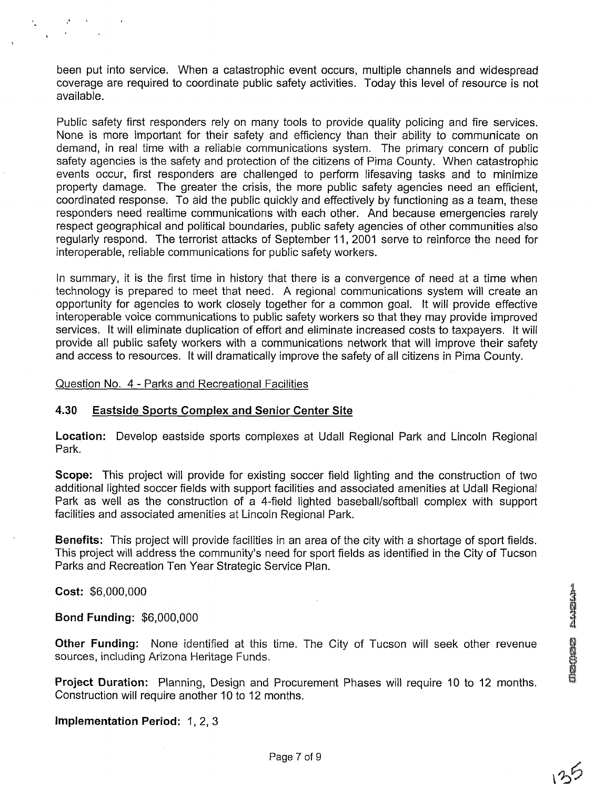been put into service. When a catastrophic event occurs, multiple channels and widespread coverage are required to coordinate public safety activities. Today this level of resource is not available.

Public safety first responders rely on many tools to provide quality policing and fire services. None is more important for their safety and efficiency than their ability to communicate on demand, in real time with a reliable communications system. The primary concern of public safety agencies is the safety and protection of the citizens of Pima County. When catastrophic events occur, first responders are challenged to perform lifesaving tasks and to minimize property damage. The greater the crisis, the more public safety agencies need an efficient, coordinated response. To aid the public quickly and effectively by functioning as a team, these responders need realtime communications with each other. And because emergencies rarely respect geographical and political boundaries, public safety agencies of other communities also regularly respond. The terrorist attacks of September 11, 2001 serve to reinforce the need for interoperable, reliable communications for public safety workers.

In summary, it is the first time in history that there is a convergence of need at a time when technology is prepared to meet that need. A regional communications system will create an opportunity for agencies to work closely together for a common goal. It will provide effective interoperable voice communications to public safety workers so that they may provide improved services. It will eliminate duplication of effort and eliminate increased costs to taxpayers. It will provide all public safety workers with a communications network that will improve their safety and access to resources. It will dramatically improve the safety of all citizens in Pima County.

#### Question No. 4 - Parks and Recreational Facilities

#### **4.30 Eastside Sports Complex and Senior Center Site**

**Location:** Develop eastside sports complexes at Udall Regional Park and Lincoln Regional Park.

**Scope:** This project will provide for existing soccer field lighting and the construction of two additional lighted soccer fields with support facilities and associated amenities at Udall Regional Park as well as the construction of a 4-field lighted baseball/softball complex with support facilities and associated amenities at Lincoln Regional Park.

**Benefits:** This project will provide facilities in an area of the city with a shortage of sport fields. This project will address the community's need for sport fields as identified in the City of Tucson Parks and Recreation Ten Year Strategic Service Plan.

**Cost:** \$6,000,000

**Bond Funding:** \$6,000,000

**Other Funding:** None identified at this time. The City of Tucson will seek other revenue sources, including Arizona Heritage Funds.

**Project Duration:** Planning, Design and Procurement Phases will require 10 to 12 months. Construction will require another 10 to 12 months.

**Implementation Period:** 1, 2, **3** 

**Septe cepter**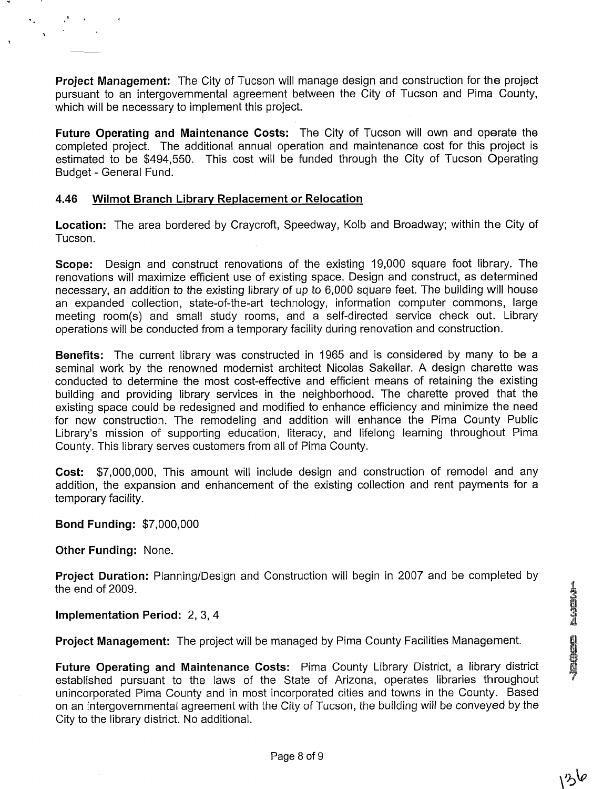**Project Management:** The City of Tucson will manage design and construction for the project pursuant to an intergovernmental agreement between the City of Tucson and Pima County, which will be necessary to implement this project.

**Future Operating and Maintenance Costs:** The City of Tucson will own and operate the completed project. The additional annual operation and maintenance cost for this project is estimated to be \$494,550. This cost will be funded through the City of Tucson Operating Budget - General Fund.

#### **4.46 Wilmot Branch Library Replacement or Relocation**

**Location:** The area bordered by Craycroft, Speedway, Kolb and Broadway; within the City of Tucson.

**Scope:** Design and construct renovations of the existing 19,000 square foot library. The renovations will maximize efficient use of existing space. Design and construct, as determined necessary, an addition to the existing library of up to 6,000 square feet. The building will house an expanded collection, state-of-the-art technology, information computer commons, large meeting room(s) and small study rooms, and a self-directed service check out. Library operations will be conducted from a temporary facility during renovation and construction.

**Benefits:** The current library was constructed in 1965 and is considered by many to be a seminal work by the renowned modernist architect Nicolas Sakellar. A design charette was conducted to determine the most cost-effective and efficient means of retaining the existing building and providing library services in the neighborhood. The charette proved that the existing space could be redesigned and modified to enhance efficiency and minimize the need for new construction. The remodeling and addition will enhance the Pima County Public Library's mission of supporting education, literacy, and lifelong learning throughout Pima County. This library serves customers from all of Pima County.

**Cost:** \$7,000,000, This amount will include design and construction of remodel and any addition, the expansion and enhancement of the existing collection and rent payments for a temporary facility.

#### **Bond Funding:** \$7,000,000

**Other Funding:** None.

Project Duration: Planning/Design and Construction will begin in 2007 and be completed by the end of 2009.

#### **Implementation Period: 2, 3, 4**

**Project Management:** The project will be managed by Pima County Facilities Management.<br>**Future Operating and Maintenance Costs:** Pima County Library District, a library district

established pursuant to the laws of the State of Arizona, operates libraries throughout unincorporated Pima County and in most incorporated cities and towns in the County. Based on an intergovernmental agreement with the City of Tucson, the building will be conveyed by the City to the library district. No additional.